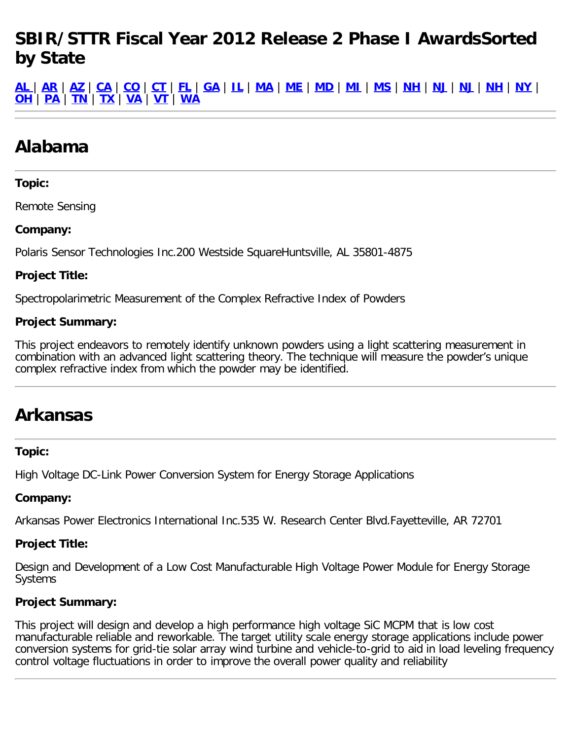# **SBIR/STTR Fiscal Year 2012 Release 2 Phase I AwardsSorted by State**

<u>[AL](#page-0-0)[|](#page-0-0)[AR](#page-0-1)|[AZ](#page-0-2)|[CA](#page-1-0)|[CO](#page-4-0)|[CT](#page-7-0)|[FL](#page-8-0)|[GA](#page-8-1)|[IL](#page-8-2)|[MA](#page-9-0)|[ME](#page-12-0)|[MD](#page-12-1)|[MI](#page-13-0)|[MS](#page-14-0)|[NH](#page-14-1)|[NJ](#page-15-0)|NJ|NH|[NY](#page-17-0)|</u> **[OH](#page-18-0)** | **[PA](#page-20-0)** | **[TN](#page-21-0)** | **[TX](#page-22-0)** | **[VA](#page-23-0)** | **[VT](#page-25-0)** | **[WA](#page-25-1)**

# <span id="page-0-0"></span>**Alabama**

# **Topic:**

Remote Sensing

## **Company:**

Polaris Sensor Technologies Inc.200 Westside SquareHuntsville, AL 35801-4875

## **Project Title:**

Spectropolarimetric Measurement of the Complex Refractive Index of Powders

# **Project Summary:**

This project endeavors to remotely identify unknown powders using a light scattering measurement in combination with an advanced light scattering theory. The technique will measure the powder's unique complex refractive index from which the powder may be identified.

# <span id="page-0-1"></span>**Arkansas**

#### **Topic:**

High Voltage DC-Link Power Conversion System for Energy Storage Applications

#### **Company:**

Arkansas Power Electronics International Inc.535 W. Research Center Blvd.Fayetteville, AR 72701

# **Project Title:**

Design and Development of a Low Cost Manufacturable High Voltage Power Module for Energy Storage Systems

# **Project Summary:**

<span id="page-0-2"></span>This project will design and develop a high performance high voltage SiC MCPM that is low cost manufacturable reliable and reworkable. The target utility scale energy storage applications include power conversion systems for grid-tie solar array wind turbine and vehicle-to-grid to aid in load leveling frequency control voltage fluctuations in order to improve the overall power quality and reliability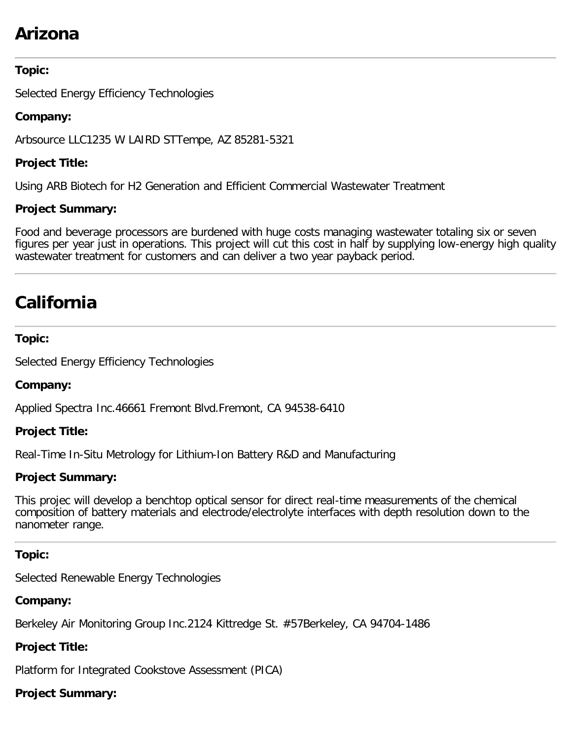# **Arizona**

# **Topic:**

Selected Energy Efficiency Technologies

# **Company:**

Arbsource LLC1235 W LAIRD STTempe, AZ 85281-5321

# **Project Title:**

Using ARB Biotech for H2 Generation and Efficient Commercial Wastewater Treatment

# **Project Summary:**

Food and beverage processors are burdened with huge costs managing wastewater totaling six or seven figures per year just in operations. This project will cut this cost in half by supplying low-energy high quality wastewater treatment for customers and can deliver a two year payback period.

# <span id="page-1-0"></span>**California**

## **Topic:**

Selected Energy Efficiency Technologies

# **Company:**

Applied Spectra Inc.46661 Fremont Blvd.Fremont, CA 94538-6410

# **Project Title:**

Real-Time In-Situ Metrology for Lithium-Ion Battery R&D and Manufacturing

# **Project Summary:**

This projec will develop a benchtop optical sensor for direct real-time measurements of the chemical composition of battery materials and electrode/electrolyte interfaces with depth resolution down to the nanometer range.

# **Topic:**

Selected Renewable Energy Technologies

# **Company:**

Berkeley Air Monitoring Group Inc.2124 Kittredge St. #57Berkeley, CA 94704-1486

# **Project Title:**

Platform for Integrated Cookstove Assessment (PICA)

# **Project Summary:**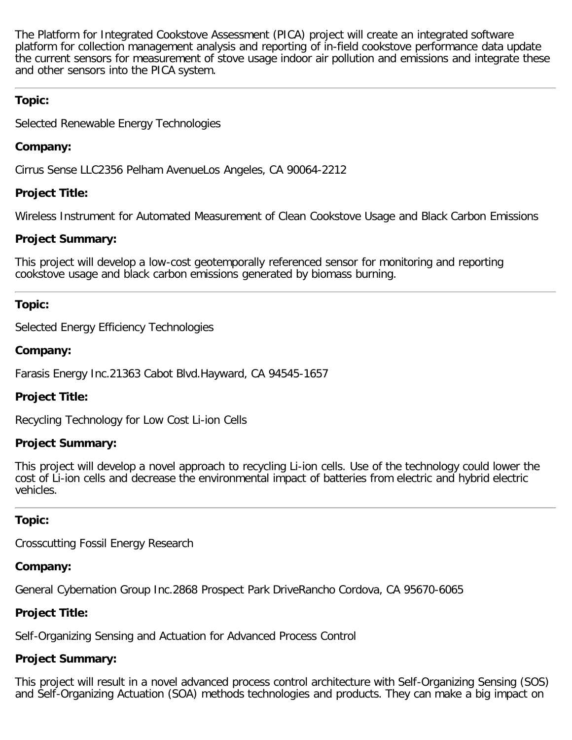The Platform for Integrated Cookstove Assessment (PICA) project will create an integrated software platform for collection management analysis and reporting of in-field cookstove performance data update the current sensors for measurement of stove usage indoor air pollution and emissions and integrate these and other sensors into the PICA system.

# **Topic:**

Selected Renewable Energy Technologies

# **Company:**

Cirrus Sense LLC2356 Pelham AvenueLos Angeles, CA 90064-2212

# **Project Title:**

Wireless Instrument for Automated Measurement of Clean Cookstove Usage and Black Carbon Emissions

# **Project Summary:**

This project will develop a low-cost geotemporally referenced sensor for monitoring and reporting cookstove usage and black carbon emissions generated by biomass burning.

# **Topic:**

Selected Energy Efficiency Technologies

# **Company:**

Farasis Energy Inc.21363 Cabot Blvd.Hayward, CA 94545-1657

# **Project Title:**

Recycling Technology for Low Cost Li-ion Cells

# **Project Summary:**

This project will develop a novel approach to recycling Li-ion cells. Use of the technology could lower the cost of Li-ion cells and decrease the environmental impact of batteries from electric and hybrid electric vehicles.

# **Topic:**

Crosscutting Fossil Energy Research

# **Company:**

General Cybernation Group Inc.2868 Prospect Park DriveRancho Cordova, CA 95670-6065

# **Project Title:**

Self-Organizing Sensing and Actuation for Advanced Process Control

# **Project Summary:**

This project will result in a novel advanced process control architecture with Self-Organizing Sensing (SOS) and Self-Organizing Actuation (SOA) methods technologies and products. They can make a big impact on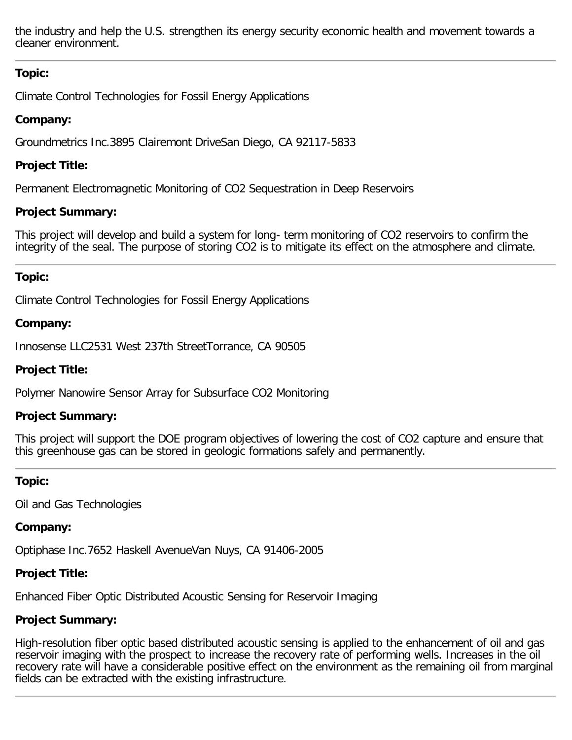the industry and help the U.S. strengthen its energy security economic health and movement towards a cleaner environment.

# **Topic:**

Climate Control Technologies for Fossil Energy Applications

# **Company:**

Groundmetrics Inc.3895 Clairemont DriveSan Diego, CA 92117-5833

# **Project Title:**

Permanent Electromagnetic Monitoring of CO2 Sequestration in Deep Reservoirs

# **Project Summary:**

This project will develop and build a system for long- term monitoring of CO2 reservoirs to confirm the integrity of the seal. The purpose of storing CO2 is to mitigate its effect on the atmosphere and climate.

# **Topic:**

Climate Control Technologies for Fossil Energy Applications

# **Company:**

Innosense LLC2531 West 237th StreetTorrance, CA 90505

# **Project Title:**

Polymer Nanowire Sensor Array for Subsurface CO2 Monitoring

# **Project Summary:**

This project will support the DOE program objectives of lowering the cost of CO2 capture and ensure that this greenhouse gas can be stored in geologic formations safely and permanently.

# **Topic:**

Oil and Gas Technologies

# **Company:**

Optiphase Inc.7652 Haskell AvenueVan Nuys, CA 91406-2005

# **Project Title:**

Enhanced Fiber Optic Distributed Acoustic Sensing for Reservoir Imaging

# **Project Summary:**

High-resolution fiber optic based distributed acoustic sensing is applied to the enhancement of oil and gas reservoir imaging with the prospect to increase the recovery rate of performing wells. Increases in the oil recovery rate will have a considerable positive effect on the environment as the remaining oil from marginal fields can be extracted with the existing infrastructure.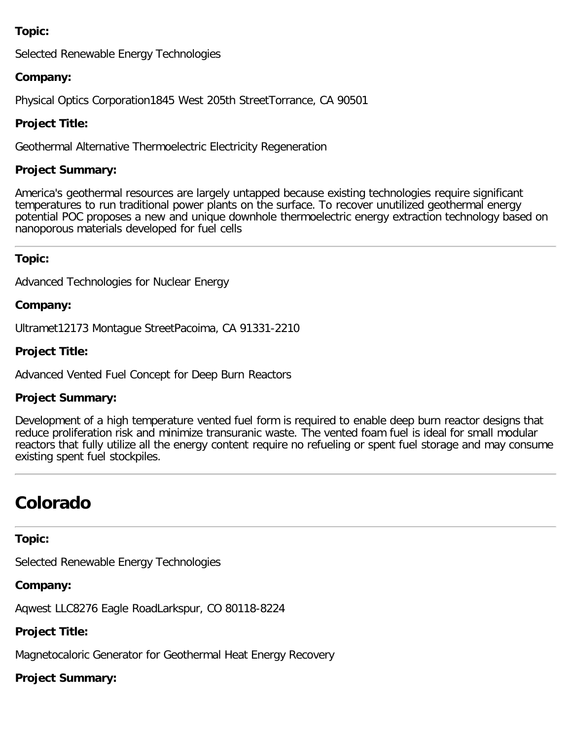# **Topic:**

Selected Renewable Energy Technologies

## **Company:**

Physical Optics Corporation1845 West 205th StreetTorrance, CA 90501

# **Project Title:**

Geothermal Alternative Thermoelectric Electricity Regeneration

## **Project Summary:**

America's geothermal resources are largely untapped because existing technologies require significant temperatures to run traditional power plants on the surface. To recover unutilized geothermal energy potential POC proposes a new and unique downhole thermoelectric energy extraction technology based on nanoporous materials developed for fuel cells

## **Topic:**

Advanced Technologies for Nuclear Energy

## **Company:**

Ultramet12173 Montague StreetPacoima, CA 91331-2210

## **Project Title:**

Advanced Vented Fuel Concept for Deep Burn Reactors

#### **Project Summary:**

Development of a high temperature vented fuel form is required to enable deep burn reactor designs that reduce proliferation risk and minimize transuranic waste. The vented foam fuel is ideal for small modular reactors that fully utilize all the energy content require no refueling or spent fuel storage and may consume existing spent fuel stockpiles.

# <span id="page-4-0"></span>**Colorado**

#### **Topic:**

Selected Renewable Energy Technologies

# **Company:**

Aqwest LLC8276 Eagle RoadLarkspur, CO 80118-8224

# **Project Title:**

Magnetocaloric Generator for Geothermal Heat Energy Recovery

# **Project Summary:**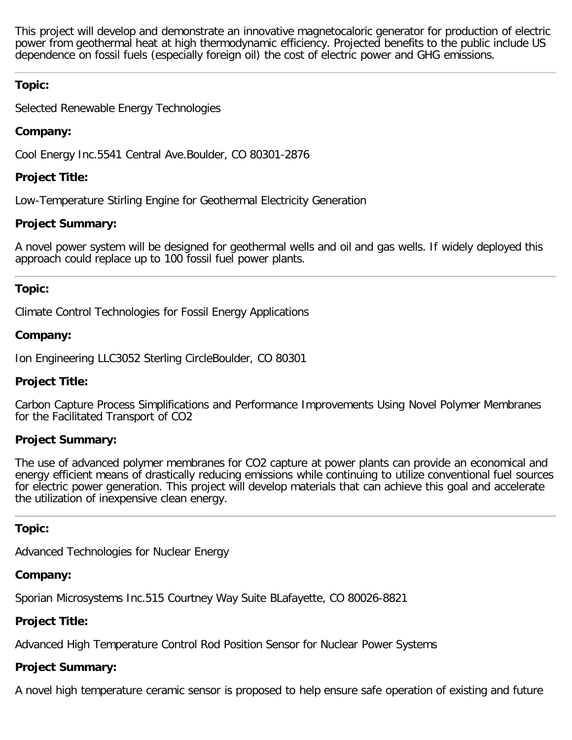This project will develop and demonstrate an innovative magnetocaloric generator for production of electric power from geothermal heat at high thermodynamic efficiency. Projected benefits to the public include US dependence on fossil fuels (especially foreign oil) the cost of electric power and GHG emissions.

# **Topic:**

Selected Renewable Energy Technologies

# **Company:**

Cool Energy Inc.5541 Central Ave.Boulder, CO 80301-2876

# **Project Title:**

Low-Temperature Stirling Engine for Geothermal Electricity Generation

# **Project Summary:**

A novel power system will be designed for geothermal wells and oil and gas wells. If widely deployed this approach could replace up to 100 fossil fuel power plants.

# **Topic:**

Climate Control Technologies for Fossil Energy Applications

# **Company:**

Ion Engineering LLC3052 Sterling CircleBoulder, CO 80301

# **Project Title:**

Carbon Capture Process Simplifications and Performance Improvements Using Novel Polymer Membranes for the Facilitated Transport of CO2

# **Project Summary:**

The use of advanced polymer membranes for CO2 capture at power plants can provide an economical and energy efficient means of drastically reducing emissions while continuing to utilize conventional fuel sources for electric power generation. This project will develop materials that can achieve this goal and accelerate the utilization of inexpensive clean energy.

# **Topic:**

Advanced Technologies for Nuclear Energy

# **Company:**

Sporian Microsystems Inc.515 Courtney Way Suite BLafayette, CO 80026-8821

# **Project Title:**

Advanced High Temperature Control Rod Position Sensor for Nuclear Power Systems

# **Project Summary:**

A novel high temperature ceramic sensor is proposed to help ensure safe operation of existing and future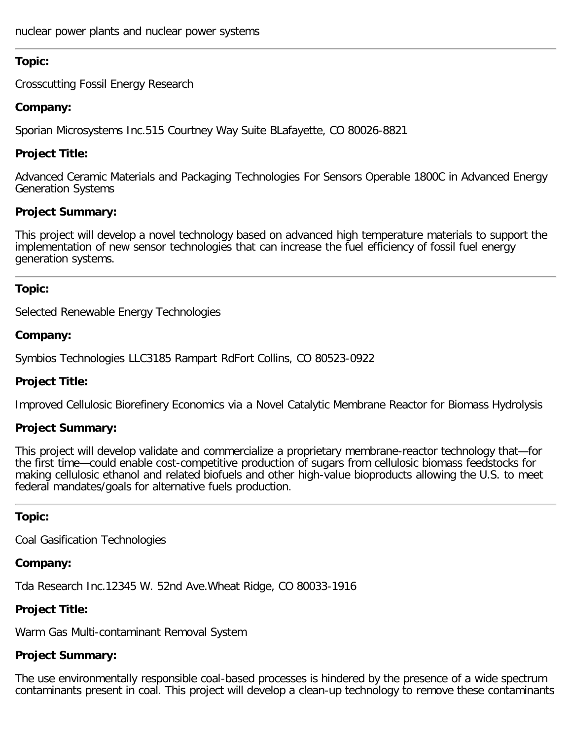## **Topic:**

Crosscutting Fossil Energy Research

## **Company:**

Sporian Microsystems Inc.515 Courtney Way Suite BLafayette, CO 80026-8821

# **Project Title:**

Advanced Ceramic Materials and Packaging Technologies For Sensors Operable 1800C in Advanced Energy Generation Systems

## **Project Summary:**

This project will develop a novel technology based on advanced high temperature materials to support the implementation of new sensor technologies that can increase the fuel efficiency of fossil fuel energy generation systems.

## **Topic:**

Selected Renewable Energy Technologies

## **Company:**

Symbios Technologies LLC3185 Rampart RdFort Collins, CO 80523-0922

# **Project Title:**

Improved Cellulosic Biorefinery Economics via a Novel Catalytic Membrane Reactor for Biomass Hydrolysis

# **Project Summary:**

This project will develop validate and commercialize a proprietary membrane-reactor technology that—for the first time—could enable cost-competitive production of sugars from cellulosic biomass feedstocks for making cellulosic ethanol and related biofuels and other high-value bioproducts allowing the U.S. to meet federal mandates/goals for alternative fuels production.

#### **Topic:**

Coal Gasification Technologies

#### **Company:**

Tda Research Inc.12345 W. 52nd Ave.Wheat Ridge, CO 80033-1916

# **Project Title:**

Warm Gas Multi-contaminant Removal System

# **Project Summary:**

The use environmentally responsible coal-based processes is hindered by the presence of a wide spectrum contaminants present in coal. This project will develop a clean-up technology to remove these contaminants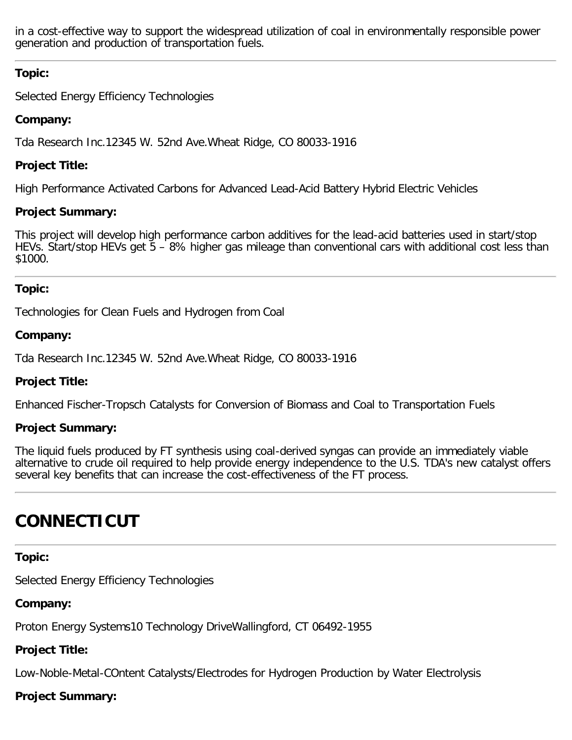in a cost-effective way to support the widespread utilization of coal in environmentally responsible power generation and production of transportation fuels.

# **Topic:**

Selected Energy Efficiency Technologies

# **Company:**

Tda Research Inc.12345 W. 52nd Ave.Wheat Ridge, CO 80033-1916

# **Project Title:**

High Performance Activated Carbons for Advanced Lead-Acid Battery Hybrid Electric Vehicles

# **Project Summary:**

This project will develop high performance carbon additives for the lead-acid batteries used in start/stop HEVs. Start/stop HEVs get 5 – 8% higher gas mileage than conventional cars with additional cost less than \$1000.

# **Topic:**

Technologies for Clean Fuels and Hydrogen from Coal

# **Company:**

Tda Research Inc.12345 W. 52nd Ave.Wheat Ridge, CO 80033-1916

# **Project Title:**

Enhanced Fischer-Tropsch Catalysts for Conversion of Biomass and Coal to Transportation Fuels

# **Project Summary:**

The liquid fuels produced by FT synthesis using coal-derived syngas can provide an immediately viable alternative to crude oil required to help provide energy independence to the U.S. TDA's new catalyst offers several key benefits that can increase the cost-effectiveness of the FT process.

# <span id="page-7-0"></span>**CONNECTICUT**

# **Topic:**

Selected Energy Efficiency Technologies

# **Company:**

Proton Energy Systems10 Technology DriveWallingford, CT 06492-1955

# **Project Title:**

Low-Noble-Metal-COntent Catalysts/Electrodes for Hydrogen Production by Water Electrolysis

# **Project Summary:**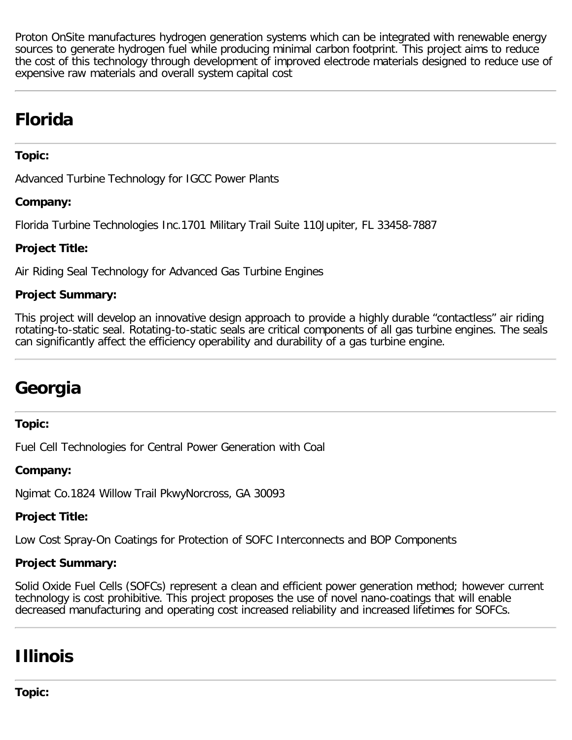Proton OnSite manufactures hydrogen generation systems which can be integrated with renewable energy sources to generate hydrogen fuel while producing minimal carbon footprint. This project aims to reduce the cost of this technology through development of improved electrode materials designed to reduce use of expensive raw materials and overall system capital cost

# <span id="page-8-0"></span>**Florida**

# **Topic:**

Advanced Turbine Technology for IGCC Power Plants

# **Company:**

Florida Turbine Technologies Inc.1701 Military Trail Suite 110Jupiter, FL 33458-7887

# **Project Title:**

Air Riding Seal Technology for Advanced Gas Turbine Engines

# **Project Summary:**

This project will develop an innovative design approach to provide a highly durable "contactless" air riding rotating-to-static seal. Rotating-to-static seals are critical components of all gas turbine engines. The seals can significantly affect the efficiency operability and durability of a gas turbine engine.

# <span id="page-8-1"></span>**Georgia**

# **Topic:**

Fuel Cell Technologies for Central Power Generation with Coal

# **Company:**

Ngimat Co.1824 Willow Trail PkwyNorcross, GA 30093

# **Project Title:**

Low Cost Spray-On Coatings for Protection of SOFC Interconnects and BOP Components

# **Project Summary:**

Solid Oxide Fuel Cells (SOFCs) represent a clean and efficient power generation method; however current technology is cost prohibitive. This project proposes the use of novel nano-coatings that will enable decreased manufacturing and operating cost increased reliability and increased lifetimes for SOFCs.

# <span id="page-8-2"></span>**Illinois**

**Topic:**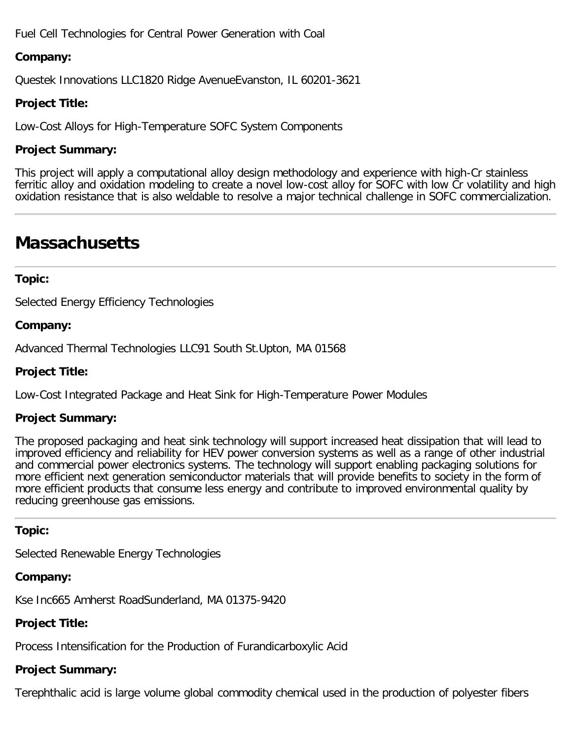Fuel Cell Technologies for Central Power Generation with Coal

# **Company:**

Questek Innovations LLC1820 Ridge AvenueEvanston, IL 60201-3621

# **Project Title:**

Low-Cost Alloys for High-Temperature SOFC System Components

# **Project Summary:**

This project will apply a computational alloy design methodology and experience with high-Cr stainless ferritic alloy and oxidation modeling to create a novel low-cost alloy for SOFC with low Cr volatility and high oxidation resistance that is also weldable to resolve a major technical challenge in SOFC commercialization.

# <span id="page-9-0"></span>**Massachusetts**

#### **Topic:**

Selected Energy Efficiency Technologies

#### **Company:**

Advanced Thermal Technologies LLC91 South St.Upton, MA 01568

#### **Project Title:**

Low-Cost Integrated Package and Heat Sink for High-Temperature Power Modules

## **Project Summary:**

The proposed packaging and heat sink technology will support increased heat dissipation that will lead to improved efficiency and reliability for HEV power conversion systems as well as a range of other industrial and commercial power electronics systems. The technology will support enabling packaging solutions for more efficient next generation semiconductor materials that will provide benefits to society in the form of more efficient products that consume less energy and contribute to improved environmental quality by reducing greenhouse gas emissions.

#### **Topic:**

Selected Renewable Energy Technologies

#### **Company:**

Kse Inc665 Amherst RoadSunderland, MA 01375-9420

# **Project Title:**

Process Intensification for the Production of Furandicarboxylic Acid

# **Project Summary:**

Terephthalic acid is large volume global commodity chemical used in the production of polyester fibers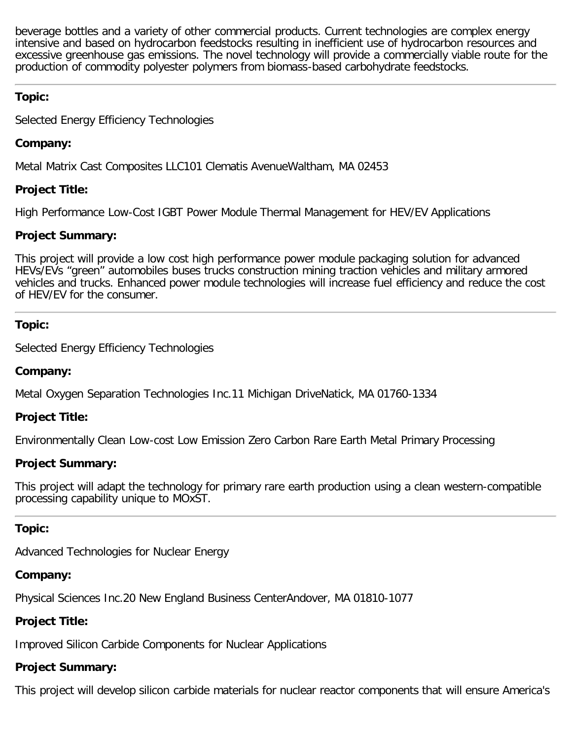beverage bottles and a variety of other commercial products. Current technologies are complex energy intensive and based on hydrocarbon feedstocks resulting in inefficient use of hydrocarbon resources and excessive greenhouse gas emissions. The novel technology will provide a commercially viable route for the production of commodity polyester polymers from biomass-based carbohydrate feedstocks.

# **Topic:**

Selected Energy Efficiency Technologies

# **Company:**

Metal Matrix Cast Composites LLC101 Clematis AvenueWaltham, MA 02453

# **Project Title:**

High Performance Low-Cost IGBT Power Module Thermal Management for HEV/EV Applications

# **Project Summary:**

This project will provide a low cost high performance power module packaging solution for advanced HEVs/EVs "green" automobiles buses trucks construction mining traction vehicles and military armored vehicles and trucks. Enhanced power module technologies will increase fuel efficiency and reduce the cost of HEV/EV for the consumer.

# **Topic:**

Selected Energy Efficiency Technologies

# **Company:**

Metal Oxygen Separation Technologies Inc.11 Michigan DriveNatick, MA 01760-1334

# **Project Title:**

Environmentally Clean Low-cost Low Emission Zero Carbon Rare Earth Metal Primary Processing

# **Project Summary:**

This project will adapt the technology for primary rare earth production using a clean western-compatible processing capability unique to MOxST.

# **Topic:**

Advanced Technologies for Nuclear Energy

# **Company:**

Physical Sciences Inc.20 New England Business CenterAndover, MA 01810-1077

# **Project Title:**

Improved Silicon Carbide Components for Nuclear Applications

# **Project Summary:**

This project will develop silicon carbide materials for nuclear reactor components that will ensure America's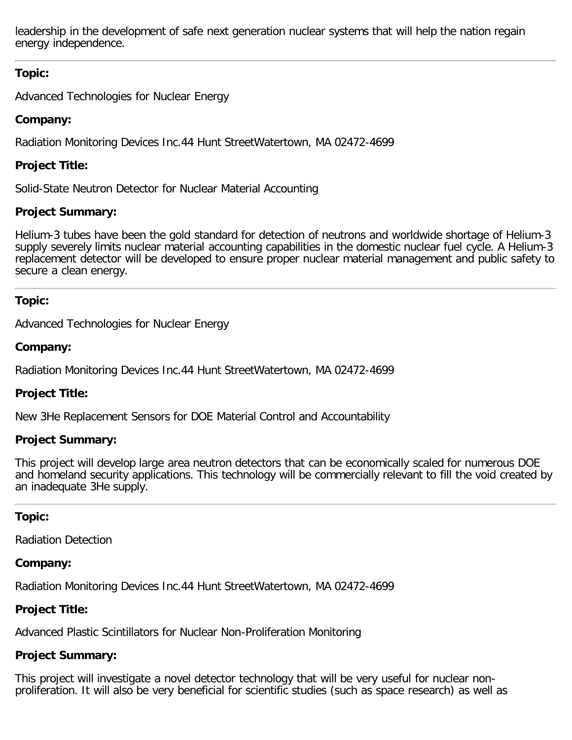leadership in the development of safe next generation nuclear systems that will help the nation regain energy independence.

# **Topic:**

Advanced Technologies for Nuclear Energy

# **Company:**

Radiation Monitoring Devices Inc.44 Hunt StreetWatertown, MA 02472-4699

# **Project Title:**

Solid-State Neutron Detector for Nuclear Material Accounting

# **Project Summary:**

Helium-3 tubes have been the gold standard for detection of neutrons and worldwide shortage of Helium-3 supply severely limits nuclear material accounting capabilities in the domestic nuclear fuel cycle. A Helium-3 replacement detector will be developed to ensure proper nuclear material management and public safety to secure a clean energy.

# **Topic:**

Advanced Technologies for Nuclear Energy

# **Company:**

Radiation Monitoring Devices Inc.44 Hunt StreetWatertown, MA 02472-4699

# **Project Title:**

New 3He Replacement Sensors for DOE Material Control and Accountability

# **Project Summary:**

This project will develop large area neutron detectors that can be economically scaled for numerous DOE and homeland security applications. This technology will be commercially relevant to fill the void created by an inadequate 3He supply.

# **Topic:**

Radiation Detection

# **Company:**

Radiation Monitoring Devices Inc.44 Hunt StreetWatertown, MA 02472-4699

# **Project Title:**

Advanced Plastic Scintillators for Nuclear Non-Proliferation Monitoring

# **Project Summary:**

This project will investigate a novel detector technology that will be very useful for nuclear nonproliferation. It will also be very beneficial for scientific studies (such as space research) as well as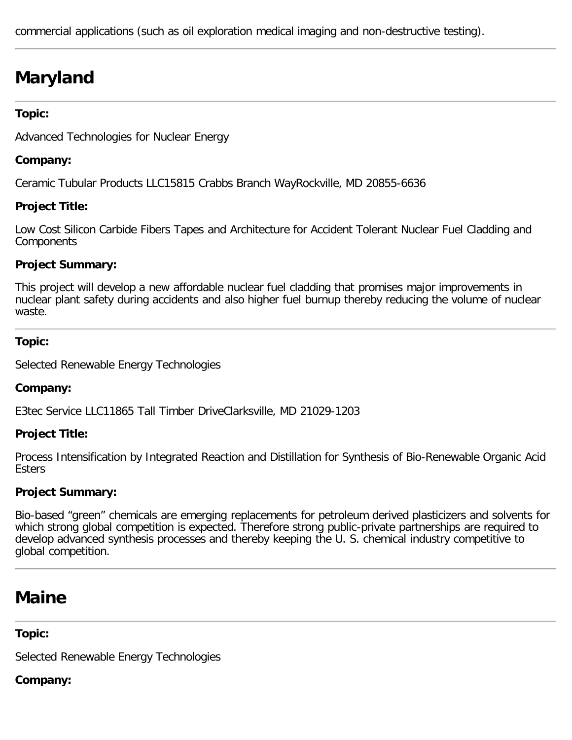commercial applications (such as oil exploration medical imaging and non-destructive testing).

# <span id="page-12-1"></span>**Maryland**

#### **Topic:**

Advanced Technologies for Nuclear Energy

#### **Company:**

Ceramic Tubular Products LLC15815 Crabbs Branch WayRockville, MD 20855-6636

## **Project Title:**

Low Cost Silicon Carbide Fibers Tapes and Architecture for Accident Tolerant Nuclear Fuel Cladding and **Components** 

## **Project Summary:**

This project will develop a new affordable nuclear fuel cladding that promises major improvements in nuclear plant safety during accidents and also higher fuel burnup thereby reducing the volume of nuclear waste.

#### **Topic:**

Selected Renewable Energy Technologies

#### **Company:**

E3tec Service LLC11865 Tall Timber DriveClarksville, MD 21029-1203

#### **Project Title:**

Process Intensification by Integrated Reaction and Distillation for Synthesis of Bio-Renewable Organic Acid Esters

#### **Project Summary:**

Bio-based "green" chemicals are emerging replacements for petroleum derived plasticizers and solvents for which strong global competition is expected. Therefore strong public-private partnerships are required to develop advanced synthesis processes and thereby keeping the U. S. chemical industry competitive to global competition.

# <span id="page-12-0"></span>**Maine**

#### **Topic:**

Selected Renewable Energy Technologies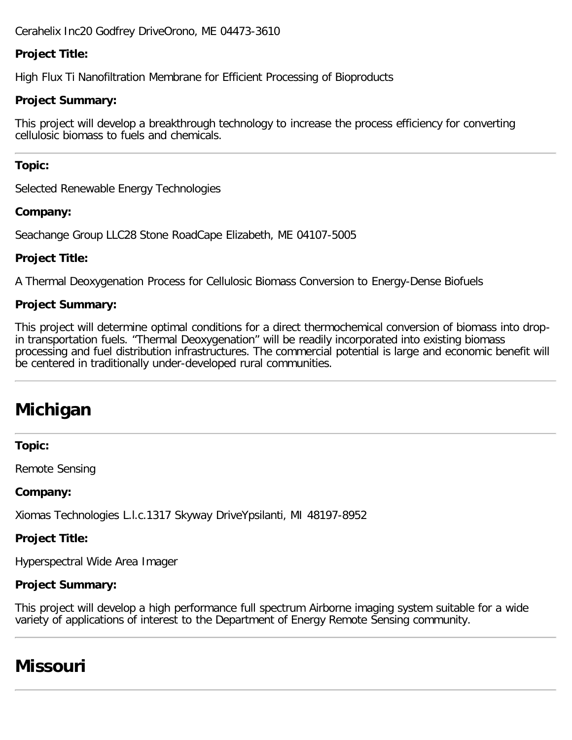Cerahelix Inc20 Godfrey DriveOrono, ME 04473-3610

# **Project Title:**

High Flux Ti Nanofiltration Membrane for Efficient Processing of Bioproducts

# **Project Summary:**

This project will develop a breakthrough technology to increase the process efficiency for converting cellulosic biomass to fuels and chemicals.

# **Topic:**

Selected Renewable Energy Technologies

# **Company:**

Seachange Group LLC28 Stone RoadCape Elizabeth, ME 04107-5005

# **Project Title:**

A Thermal Deoxygenation Process for Cellulosic Biomass Conversion to Energy-Dense Biofuels

# **Project Summary:**

This project will determine optimal conditions for a direct thermochemical conversion of biomass into dropin transportation fuels. "Thermal Deoxygenation" will be readily incorporated into existing biomass processing and fuel distribution infrastructures. The commercial potential is large and economic benefit will be centered in traditionally under-developed rural communities.

# <span id="page-13-0"></span>**Michigan**

#### **Topic:**

Remote Sensing

# **Company:**

Xiomas Technologies L.l.c.1317 Skyway DriveYpsilanti, MI 48197-8952

# **Project Title:**

Hyperspectral Wide Area Imager

# **Project Summary:**

This project will develop a high performance full spectrum Airborne imaging system suitable for a wide variety of applications of interest to the Department of Energy Remote Sensing community.

# **Missouri**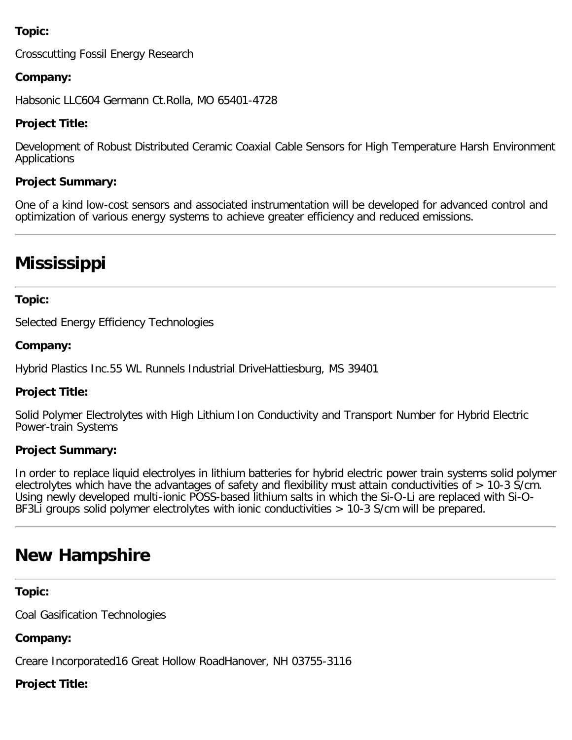# **Topic:**

Crosscutting Fossil Energy Research

# **Company:**

Habsonic LLC604 Germann Ct.Rolla, MO 65401-4728

## **Project Title:**

Development of Robust Distributed Ceramic Coaxial Cable Sensors for High Temperature Harsh Environment Applications

#### **Project Summary:**

One of a kind low-cost sensors and associated instrumentation will be developed for advanced control and optimization of various energy systems to achieve greater efficiency and reduced emissions.

# <span id="page-14-0"></span>**Mississippi**

## **Topic:**

Selected Energy Efficiency Technologies

#### **Company:**

Hybrid Plastics Inc.55 WL Runnels Industrial DriveHattiesburg, MS 39401

#### **Project Title:**

Solid Polymer Electrolytes with High Lithium Ion Conductivity and Transport Number for Hybrid Electric Power-train Systems

#### **Project Summary:**

In order to replace liquid electrolyes in lithium batteries for hybrid electric power train systems solid polymer electrolytes which have the advantages of safety and flexibility must attain conductivities of > 10-3 S/cm. Using newly developed multi-ionic POSS-based lithium salts in which the Si-O-Li are replaced with Si-O-BF3Li groups solid polymer electrolytes with ionic conductivities > 10-3 S/cm will be prepared.

# <span id="page-14-1"></span>**New Hampshire**

#### **Topic:**

Coal Gasification Technologies

**Company:**

Creare Incorporated16 Great Hollow RoadHanover, NH 03755-3116

#### **Project Title:**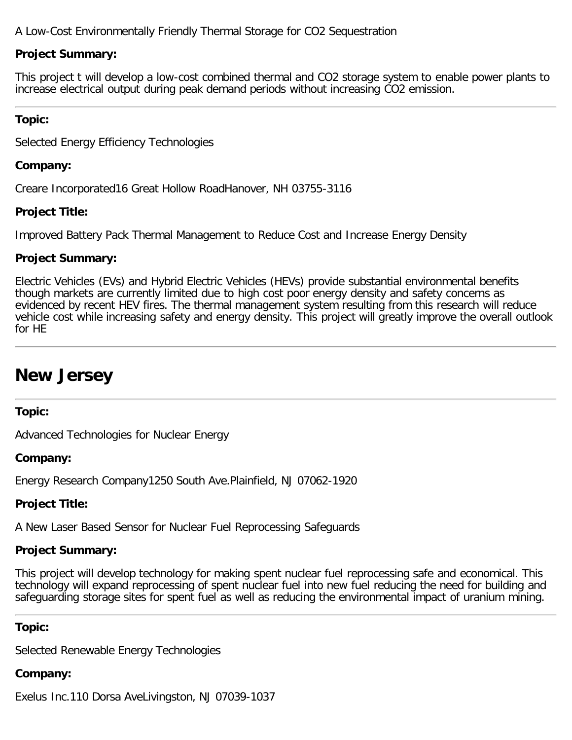A Low-Cost Environmentally Friendly Thermal Storage for CO2 Sequestration

# **Project Summary:**

This project t will develop a low-cost combined thermal and CO2 storage system to enable power plants to increase electrical output during peak demand periods without increasing CO2 emission.

# **Topic:**

Selected Energy Efficiency Technologies

# **Company:**

Creare Incorporated16 Great Hollow RoadHanover, NH 03755-3116

# **Project Title:**

Improved Battery Pack Thermal Management to Reduce Cost and Increase Energy Density

# **Project Summary:**

Electric Vehicles (EVs) and Hybrid Electric Vehicles (HEVs) provide substantial environmental benefits though markets are currently limited due to high cost poor energy density and safety concerns as evidenced by recent HEV fires. The thermal management system resulting from this research will reduce vehicle cost while increasing safety and energy density. This project will greatly improve the overall outlook for HE

# <span id="page-15-0"></span>**New Jersey**

# **Topic:**

Advanced Technologies for Nuclear Energy

# **Company:**

Energy Research Company1250 South Ave.Plainfield, NJ 07062-1920

# **Project Title:**

A New Laser Based Sensor for Nuclear Fuel Reprocessing Safeguards

# **Project Summary:**

This project will develop technology for making spent nuclear fuel reprocessing safe and economical. This technology will expand reprocessing of spent nuclear fuel into new fuel reducing the need for building and safeguarding storage sites for spent fuel as well as reducing the environmental impact of uranium mining.

# **Topic:**

Selected Renewable Energy Technologies

# **Company:**

Exelus Inc.110 Dorsa AveLivingston, NJ 07039-1037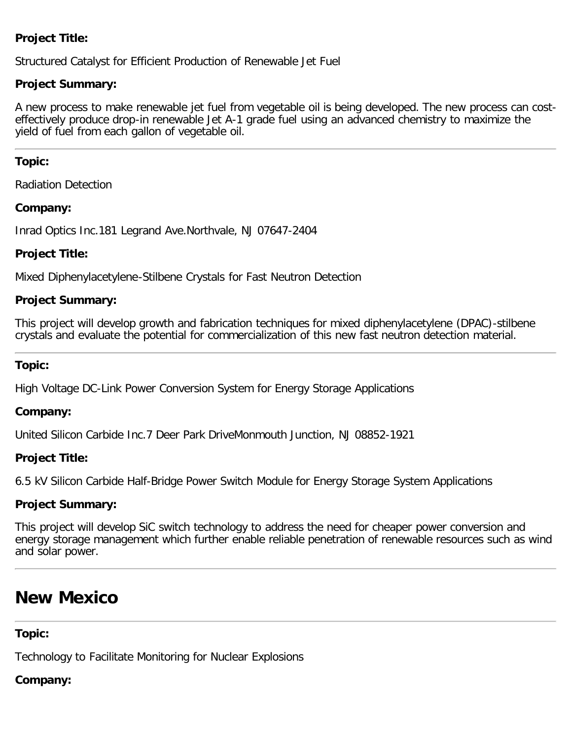# **Project Title:**

Structured Catalyst for Efficient Production of Renewable Jet Fuel

## **Project Summary:**

A new process to make renewable jet fuel from vegetable oil is being developed. The new process can costeffectively produce drop-in renewable Jet A-1 grade fuel using an advanced chemistry to maximize the yield of fuel from each gallon of vegetable oil.

#### **Topic:**

Radiation Detection

## **Company:**

Inrad Optics Inc.181 Legrand Ave.Northvale, NJ 07647-2404

## **Project Title:**

Mixed Diphenylacetylene-Stilbene Crystals for Fast Neutron Detection

## **Project Summary:**

This project will develop growth and fabrication techniques for mixed diphenylacetylene (DPAC)-stilbene crystals and evaluate the potential for commercialization of this new fast neutron detection material.

## **Topic:**

High Voltage DC-Link Power Conversion System for Energy Storage Applications

#### **Company:**

United Silicon Carbide Inc.7 Deer Park DriveMonmouth Junction, NJ 08852-1921

# **Project Title:**

6.5 kV Silicon Carbide Half-Bridge Power Switch Module for Energy Storage System Applications

# **Project Summary:**

This project will develop SiC switch technology to address the need for cheaper power conversion and energy storage management which further enable reliable penetration of renewable resources such as wind and solar power.

# **New Mexico**

# **Topic:**

Technology to Facilitate Monitoring for Nuclear Explosions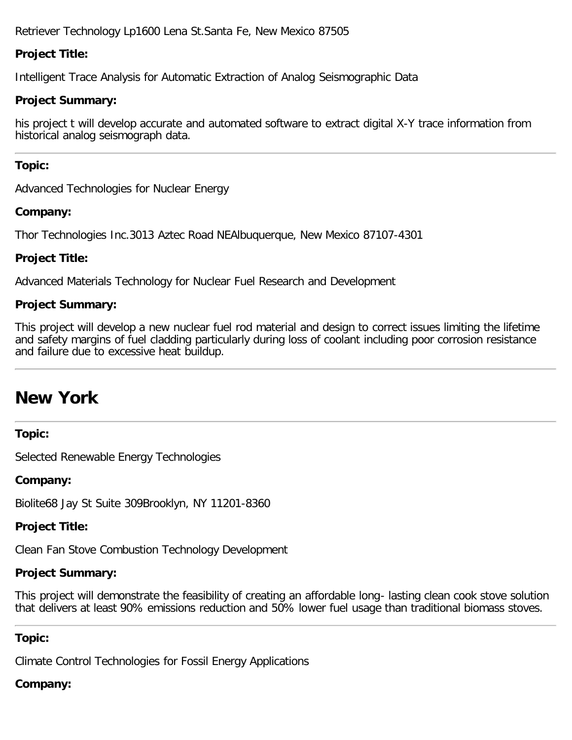Retriever Technology Lp1600 Lena St.Santa Fe, New Mexico 87505

# **Project Title:**

Intelligent Trace Analysis for Automatic Extraction of Analog Seismographic Data

## **Project Summary:**

his project t will develop accurate and automated software to extract digital X-Y trace information from historical analog seismograph data.

## **Topic:**

Advanced Technologies for Nuclear Energy

## **Company:**

Thor Technologies Inc.3013 Aztec Road NEAlbuquerque, New Mexico 87107-4301

# **Project Title:**

Advanced Materials Technology for Nuclear Fuel Research and Development

# **Project Summary:**

This project will develop a new nuclear fuel rod material and design to correct issues limiting the lifetime and safety margins of fuel cladding particularly during loss of coolant including poor corrosion resistance and failure due to excessive heat buildup.

# <span id="page-17-0"></span>**New York**

# **Topic:**

Selected Renewable Energy Technologies

# **Company:**

Biolite68 Jay St Suite 309Brooklyn, NY 11201-8360

# **Project Title:**

Clean Fan Stove Combustion Technology Development

# **Project Summary:**

This project will demonstrate the feasibility of creating an affordable long- lasting clean cook stove solution that delivers at least 90% emissions reduction and 50% lower fuel usage than traditional biomass stoves.

#### **Topic:**

Climate Control Technologies for Fossil Energy Applications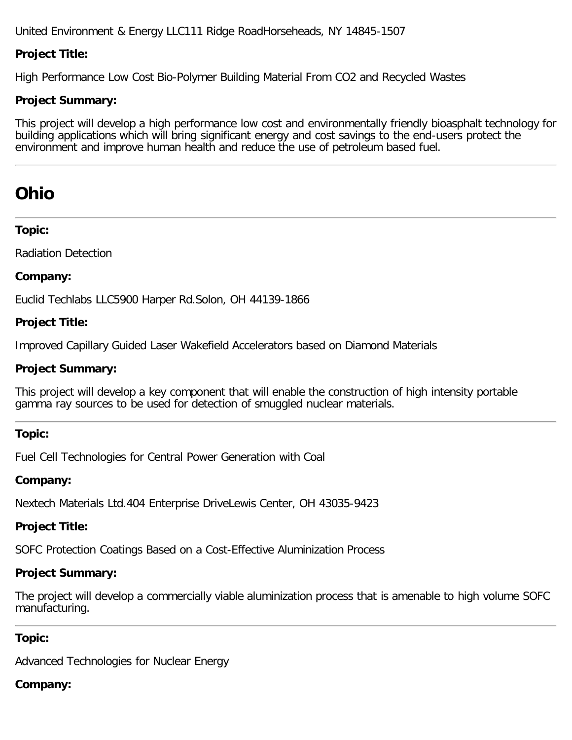United Environment & Energy LLC111 Ridge RoadHorseheads, NY 14845-1507

# **Project Title:**

High Performance Low Cost Bio-Polymer Building Material From CO2 and Recycled Wastes

# **Project Summary:**

This project will develop a high performance low cost and environmentally friendly bioasphalt technology for building applications which will bring significant energy and cost savings to the end-users protect the environment and improve human health and reduce the use of petroleum based fuel.

# <span id="page-18-0"></span>**Ohio**

## **Topic:**

Radiation Detection

# **Company:**

Euclid Techlabs LLC5900 Harper Rd.Solon, OH 44139-1866

## **Project Title:**

Improved Capillary Guided Laser Wakefield Accelerators based on Diamond Materials

## **Project Summary:**

This project will develop a key component that will enable the construction of high intensity portable gamma ray sources to be used for detection of smuggled nuclear materials.

# **Topic:**

Fuel Cell Technologies for Central Power Generation with Coal

# **Company:**

Nextech Materials Ltd.404 Enterprise DriveLewis Center, OH 43035-9423

# **Project Title:**

SOFC Protection Coatings Based on a Cost-Effective Aluminization Process

# **Project Summary:**

The project will develop a commercially viable aluminization process that is amenable to high volume SOFC manufacturing.

# **Topic:**

Advanced Technologies for Nuclear Energy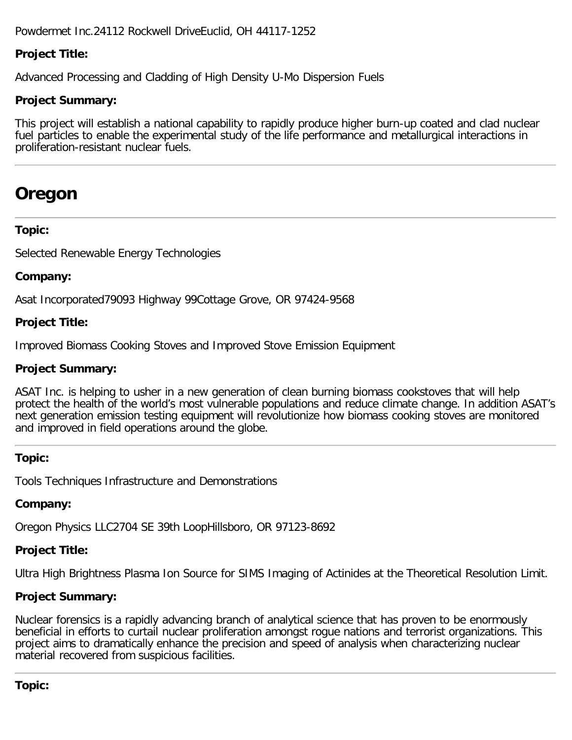Powdermet Inc.24112 Rockwell DriveEuclid, OH 44117-1252

# **Project Title:**

Advanced Processing and Cladding of High Density U-Mo Dispersion Fuels

# **Project Summary:**

This project will establish a national capability to rapidly produce higher burn-up coated and clad nuclear fuel particles to enable the experimental study of the life performance and metallurgical interactions in proliferation-resistant nuclear fuels.

# **Oregon**

## **Topic:**

Selected Renewable Energy Technologies

## **Company:**

Asat Incorporated79093 Highway 99Cottage Grove, OR 97424-9568

## **Project Title:**

Improved Biomass Cooking Stoves and Improved Stove Emission Equipment

## **Project Summary:**

ASAT Inc. is helping to usher in a new generation of clean burning biomass cookstoves that will help protect the health of the world's most vulnerable populations and reduce climate change. In addition ASAT's next generation emission testing equipment will revolutionize how biomass cooking stoves are monitored and improved in field operations around the globe.

# **Topic:**

Tools Techniques Infrastructure and Demonstrations

# **Company:**

Oregon Physics LLC2704 SE 39th LoopHillsboro, OR 97123-8692

# **Project Title:**

Ultra High Brightness Plasma Ion Source for SIMS Imaging of Actinides at the Theoretical Resolution Limit.

# **Project Summary:**

Nuclear forensics is a rapidly advancing branch of analytical science that has proven to be enormously beneficial in efforts to curtail nuclear proliferation amongst rogue nations and terrorist organizations. This project aims to dramatically enhance the precision and speed of analysis when characterizing nuclear material recovered from suspicious facilities.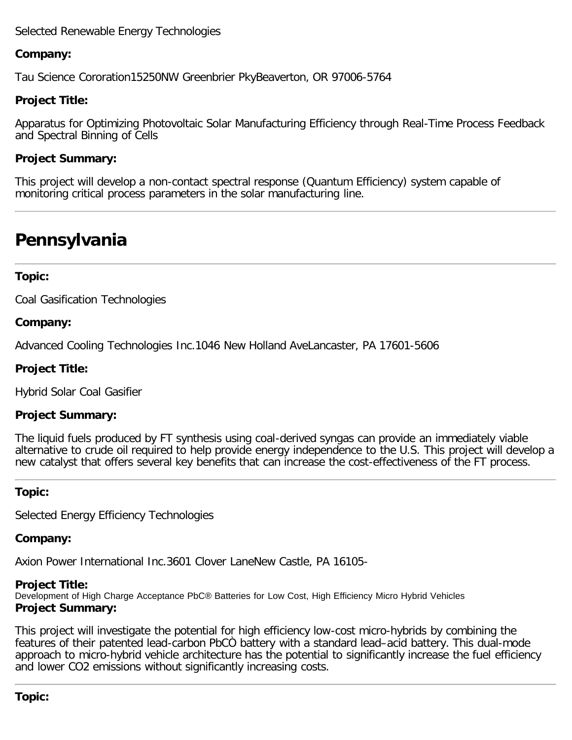## Selected Renewable Energy Technologies

## **Company:**

Tau Science Cororation15250NW Greenbrier PkyBeaverton, OR 97006-5764

## **Project Title:**

Apparatus for Optimizing Photovoltaic Solar Manufacturing Efficiency through Real-Time Process Feedback and Spectral Binning of Cells

## **Project Summary:**

This project will develop a non-contact spectral response (Quantum Efficiency) system capable of monitoring critical process parameters in the solar manufacturing line.

# <span id="page-20-0"></span>**Pennsylvania**

#### **Topic:**

Coal Gasification Technologies

#### **Company:**

Advanced Cooling Technologies Inc.1046 New Holland AveLancaster, PA 17601-5606

#### **Project Title:**

Hybrid Solar Coal Gasifier

#### **Project Summary:**

The liquid fuels produced by FT synthesis using coal-derived syngas can provide an immediately viable alternative to crude oil required to help provide energy independence to the U.S. This project will develop a new catalyst that offers several key benefits that can increase the cost-effectiveness of the FT process.

#### **Topic:**

Selected Energy Efficiency Technologies

#### **Company:**

Axion Power International Inc.3601 Clover LaneNew Castle, PA 16105-

#### **Project Title:**

Development of High Charge Acceptance PbC® Batteries for Low Cost, High Efficiency Micro Hybrid Vehicles **Project Summary:**

This project will investigate the potential for high efficiency low-cost micro-hybrids by combining the features of their patented lead-carbon PbCÒ battery with a standard lead–acid battery. This dual-mode approach to micro-hybrid vehicle architecture has the potential to significantly increase the fuel efficiency and lower CO2 emissions without significantly increasing costs.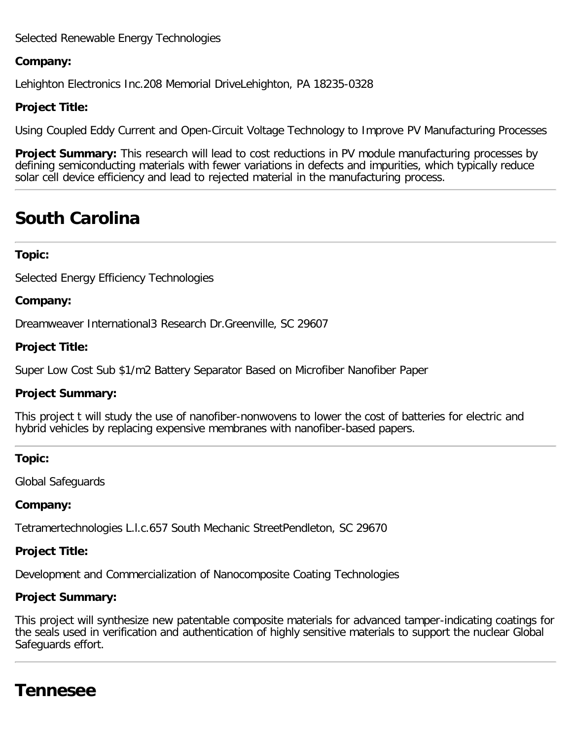# Selected Renewable Energy Technologies

#### **Company:**

Lehighton Electronics Inc.208 Memorial DriveLehighton, PA 18235-0328

#### **Project Title:**

Using Coupled Eddy Current and Open-Circuit Voltage Technology to Improve PV Manufacturing Processes

**Project Summary:** This research will lead to cost reductions in PV module manufacturing processes by defining semiconducting materials with fewer variations in defects and impurities, which typically reduce solar cell device efficiency and lead to rejected material in the manufacturing process.

# **South Carolina**

#### **Topic:**

Selected Energy Efficiency Technologies

#### **Company:**

Dreamweaver International3 Research Dr.Greenville, SC 29607

#### **Project Title:**

Super Low Cost Sub \$1/m2 Battery Separator Based on Microfiber Nanofiber Paper

#### **Project Summary:**

This project t will study the use of nanofiber-nonwovens to lower the cost of batteries for electric and hybrid vehicles by replacing expensive membranes with nanofiber-based papers.

#### **Topic:**

Global Safeguards

#### **Company:**

Tetramertechnologies L.l.c.657 South Mechanic StreetPendleton, SC 29670

#### **Project Title:**

Development and Commercialization of Nanocomposite Coating Technologies

#### **Project Summary:**

This project will synthesize new patentable composite materials for advanced tamper-indicating coatings for the seals used in verification and authentication of highly sensitive materials to support the nuclear Global Safeguards effort.

# <span id="page-21-0"></span>**Tennesee**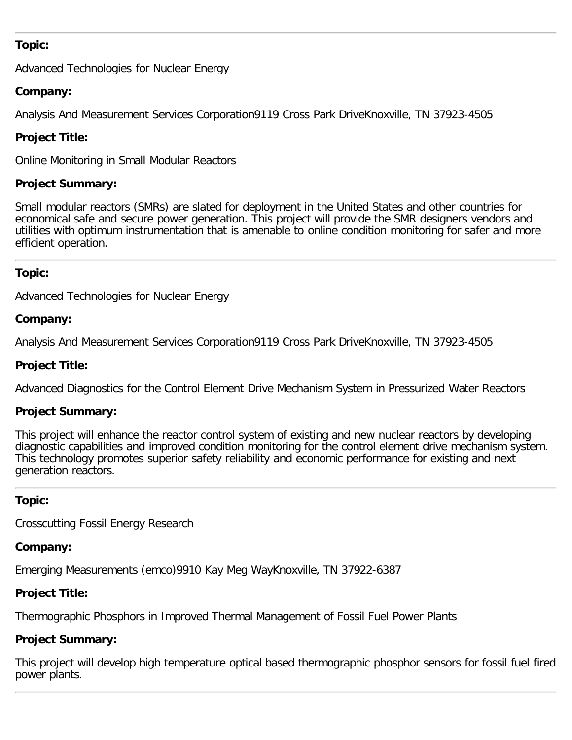## **Topic:**

Advanced Technologies for Nuclear Energy

# **Company:**

Analysis And Measurement Services Corporation9119 Cross Park DriveKnoxville, TN 37923-4505

# **Project Title:**

Online Monitoring in Small Modular Reactors

## **Project Summary:**

Small modular reactors (SMRs) are slated for deployment in the United States and other countries for economical safe and secure power generation. This project will provide the SMR designers vendors and utilities with optimum instrumentation that is amenable to online condition monitoring for safer and more efficient operation.

# **Topic:**

Advanced Technologies for Nuclear Energy

## **Company:**

Analysis And Measurement Services Corporation9119 Cross Park DriveKnoxville, TN 37923-4505

## **Project Title:**

Advanced Diagnostics for the Control Element Drive Mechanism System in Pressurized Water Reactors

# **Project Summary:**

This project will enhance the reactor control system of existing and new nuclear reactors by developing diagnostic capabilities and improved condition monitoring for the control element drive mechanism system. This technology promotes superior safety reliability and economic performance for existing and next generation reactors.

#### **Topic:**

Crosscutting Fossil Energy Research

#### **Company:**

Emerging Measurements (emco)9910 Kay Meg WayKnoxville, TN 37922-6387

# **Project Title:**

Thermographic Phosphors in Improved Thermal Management of Fossil Fuel Power Plants

# **Project Summary:**

<span id="page-22-0"></span>This project will develop high temperature optical based thermographic phosphor sensors for fossil fuel fired power plants.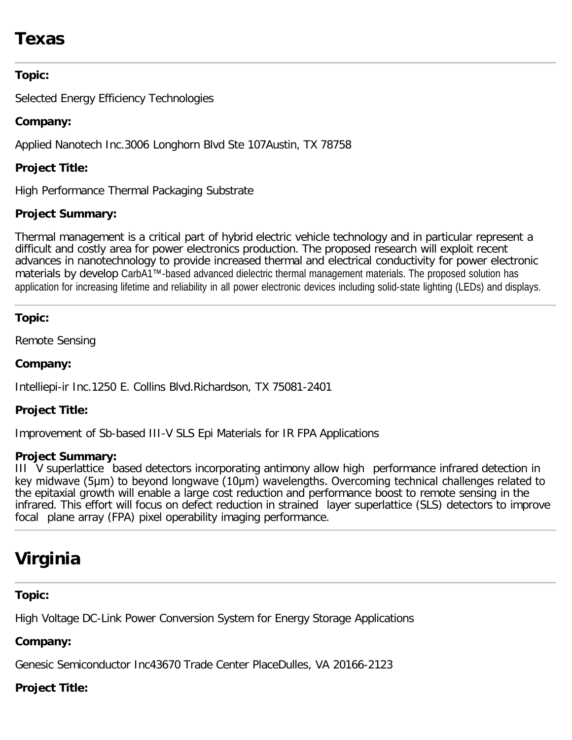# **Texas**

# **Topic:**

Selected Energy Efficiency Technologies

# **Company:**

Applied Nanotech Inc.3006 Longhorn Blvd Ste 107Austin, TX 78758

# **Project Title:**

High Performance Thermal Packaging Substrate

# **Project Summary:**

Thermal management is a critical part of hybrid electric vehicle technology and in particular represent a difficult and costly area for power electronics production. The proposed research will exploit recent advances in nanotechnology to provide increased thermal and electrical conductivity for power electronic materials by develop CarbA1™-based advanced dielectric thermal management materials. The proposed solution has application for increasing lifetime and reliability in all power electronic devices including solid-state lighting (LEDs) and displays.

# **Topic:**

Remote Sensing

# **Company:**

Intelliepi-ir Inc.1250 E. Collins Blvd.Richardson, TX 75081-2401

# **Project Title:**

Improvement of Sb-based III-V SLS Epi Materials for IR FPA Applications

# **Project Summary:**

III V superlattice based detectors incorporating antimony allow high performance infrared detection in key midwave (5μm) to beyond longwave (10μm) wavelengths. Overcoming technical challenges related to the epitaxial growth will enable a large cost reduction and performance boost to remote sensing in the infrared. This effort will focus on defect reduction in strained layer superlattice (SLS) detectors to improve focal plane array (FPA) pixel operability imaging performance.

# <span id="page-23-0"></span>**Virginia**

# **Topic:**

High Voltage DC-Link Power Conversion System for Energy Storage Applications

# **Company:**

Genesic Semiconductor Inc43670 Trade Center PlaceDulles, VA 20166-2123

# **Project Title:**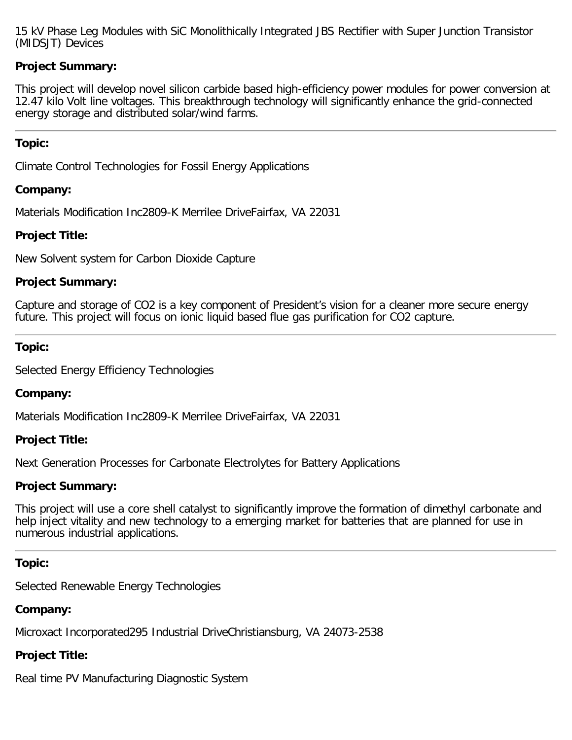15 kV Phase Leg Modules with SiC Monolithically Integrated JBS Rectifier with Super Junction Transistor (MIDSJT) Devices

## **Project Summary:**

This project will develop novel silicon carbide based high-efficiency power modules for power conversion at 12.47 kilo Volt line voltages. This breakthrough technology will significantly enhance the grid-connected energy storage and distributed solar/wind farms.

#### **Topic:**

Climate Control Technologies for Fossil Energy Applications

#### **Company:**

Materials Modification Inc2809-K Merrilee DriveFairfax, VA 22031

#### **Project Title:**

New Solvent system for Carbon Dioxide Capture

#### **Project Summary:**

Capture and storage of CO2 is a key component of President's vision for a cleaner more secure energy future. This project will focus on ionic liquid based flue gas purification for CO2 capture.

#### **Topic:**

Selected Energy Efficiency Technologies

#### **Company:**

Materials Modification Inc2809-K Merrilee DriveFairfax, VA 22031

#### **Project Title:**

Next Generation Processes for Carbonate Electrolytes for Battery Applications

#### **Project Summary:**

This project will use a core shell catalyst to significantly improve the formation of dimethyl carbonate and help inject vitality and new technology to a emerging market for batteries that are planned for use in numerous industrial applications.

#### **Topic:**

Selected Renewable Energy Technologies

#### **Company:**

Microxact Incorporated295 Industrial DriveChristiansburg, VA 24073-2538

#### **Project Title:**

Real time PV Manufacturing Diagnostic System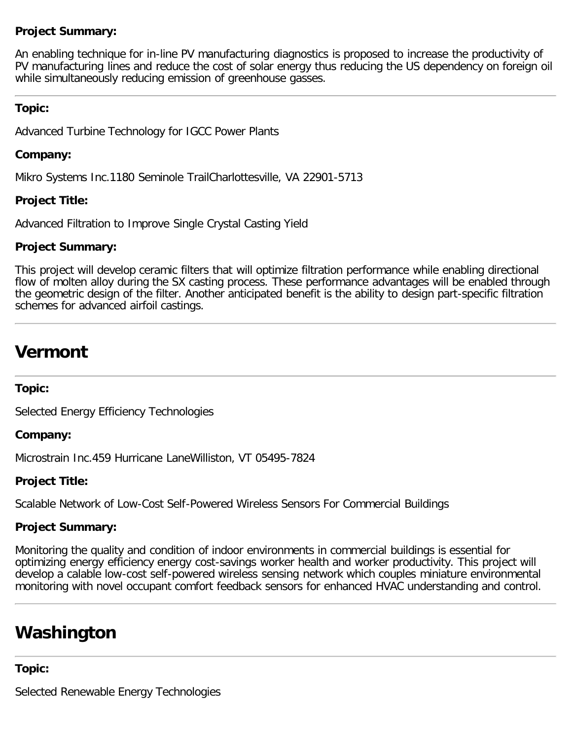# **Project Summary:**

An enabling technique for in-line PV manufacturing diagnostics is proposed to increase the productivity of PV manufacturing lines and reduce the cost of solar energy thus reducing the US dependency on foreign oil while simultaneously reducing emission of greenhouse gasses.

## **Topic:**

Advanced Turbine Technology for IGCC Power Plants

## **Company:**

Mikro Systems Inc.1180 Seminole TrailCharlottesville, VA 22901-5713

## **Project Title:**

Advanced Filtration to Improve Single Crystal Casting Yield

## **Project Summary:**

This project will develop ceramic filters that will optimize filtration performance while enabling directional flow of molten alloy during the SX casting process. These performance advantages will be enabled through the geometric design of the filter. Another anticipated benefit is the ability to design part-specific filtration schemes for advanced airfoil castings.

# <span id="page-25-0"></span>**Vermont**

# **Topic:**

Selected Energy Efficiency Technologies

# **Company:**

Microstrain Inc.459 Hurricane LaneWilliston, VT 05495-7824

# **Project Title:**

Scalable Network of Low-Cost Self-Powered Wireless Sensors For Commercial Buildings

# **Project Summary:**

Monitoring the quality and condition of indoor environments in commercial buildings is essential for optimizing energy efficiency energy cost-savings worker health and worker productivity. This project will develop a calable low-cost self-powered wireless sensing network which couples miniature environmental monitoring with novel occupant comfort feedback sensors for enhanced HVAC understanding and control.

# <span id="page-25-1"></span>**Washington**

#### **Topic:**

Selected Renewable Energy Technologies